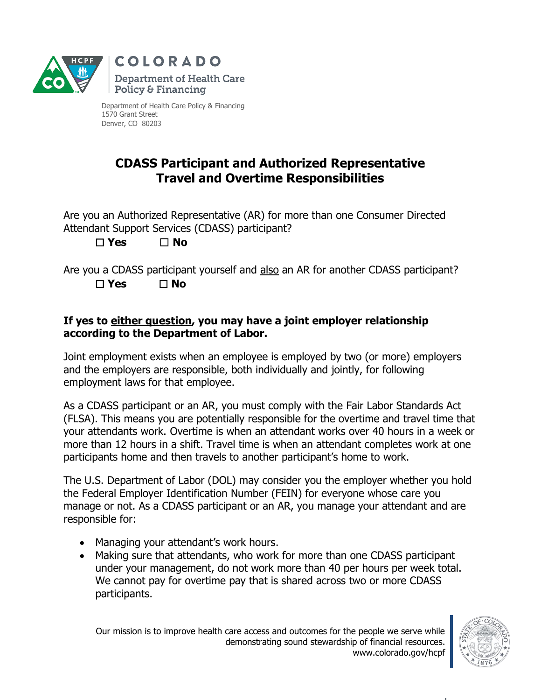

Department of Health Care Policy & Financing 1570 Grant Street Denver, CO 80203

## **CDASS Participant and Authorized Representative Travel and Overtime Responsibilities**

Are you an Authorized Representative (AR) for more than one Consumer Directed Attendant Support Services (CDASS) participant? ☐ **Yes** ☐ **No**

Are you a CDASS participant yourself and also an AR for another CDASS participant? ☐ **Yes** ☐ **No**

## **If yes to either question, you may have a joint employer relationship according to the Department of Labor.**

Joint employment exists when an employee is employed by two (or more) employers and the employers are responsible, both individually and jointly, for following employment laws for that employee.

As a CDASS participant or an AR, you must comply with the Fair Labor Standards Act (FLSA). This means you are potentially responsible for the overtime and travel time that your attendants work. Overtime is when an attendant works over 40 hours in a week or more than 12 hours in a shift. Travel time is when an attendant completes work at one participants home and then travels to another participant's home to work.

The U.S. Department of Labor (DOL) may consider you the employer whether you hold the Federal Employer Identification Number (FEIN) for everyone whose care you manage or not. As a CDASS participant or an AR, you manage your attendant and are responsible for:

- Managing your attendant's work hours.
- Making sure that attendants, who work for more than one CDASS participant under your management, do not work more than 40 per hours per week total. We cannot pay for overtime pay that is shared across two or more CDASS participants.

Our mission is to improve health care access and outcomes for the people we serve while demonstrating sound stewardship of financial resources. www.colorado.gov/hcpf